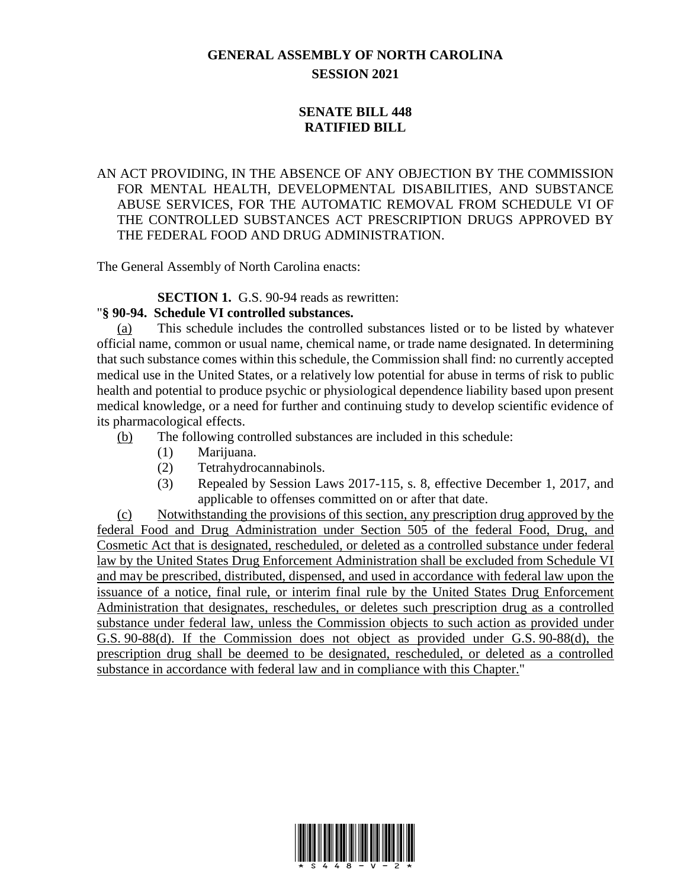## **GENERAL ASSEMBLY OF NORTH CAROLINA SESSION 2021**

## **SENATE BILL 448 RATIFIED BILL**

AN ACT PROVIDING, IN THE ABSENCE OF ANY OBJECTION BY THE COMMISSION FOR MENTAL HEALTH, DEVELOPMENTAL DISABILITIES, AND SUBSTANCE ABUSE SERVICES, FOR THE AUTOMATIC REMOVAL FROM SCHEDULE VI OF THE CONTROLLED SUBSTANCES ACT PRESCRIPTION DRUGS APPROVED BY THE FEDERAL FOOD AND DRUG ADMINISTRATION.

The General Assembly of North Carolina enacts:

**SECTION 1.** G.S. 90-94 reads as rewritten:

## "**§ 90-94. Schedule VI controlled substances.**

(a) This schedule includes the controlled substances listed or to be listed by whatever official name, common or usual name, chemical name, or trade name designated. In determining that such substance comes within this schedule, the Commission shall find: no currently accepted medical use in the United States, or a relatively low potential for abuse in terms of risk to public health and potential to produce psychic or physiological dependence liability based upon present medical knowledge, or a need for further and continuing study to develop scientific evidence of its pharmacological effects.

- (b) The following controlled substances are included in this schedule:
	- (1) Marijuana.
	- (2) Tetrahydrocannabinols.
	- (3) Repealed by Session Laws 2017-115, s. 8, effective December 1, 2017, and applicable to offenses committed on or after that date.

(c) Notwithstanding the provisions of this section, any prescription drug approved by the federal Food and Drug Administration under Section 505 of the federal Food, Drug, and Cosmetic Act that is designated, rescheduled, or deleted as a controlled substance under federal law by the United States Drug Enforcement Administration shall be excluded from Schedule VI and may be prescribed, distributed, dispensed, and used in accordance with federal law upon the issuance of a notice, final rule, or interim final rule by the United States Drug Enforcement Administration that designates, reschedules, or deletes such prescription drug as a controlled substance under federal law, unless the Commission objects to such action as provided under G.S. 90-88(d). If the Commission does not object as provided under G.S. 90-88(d), the prescription drug shall be deemed to be designated, rescheduled, or deleted as a controlled substance in accordance with federal law and in compliance with this Chapter."